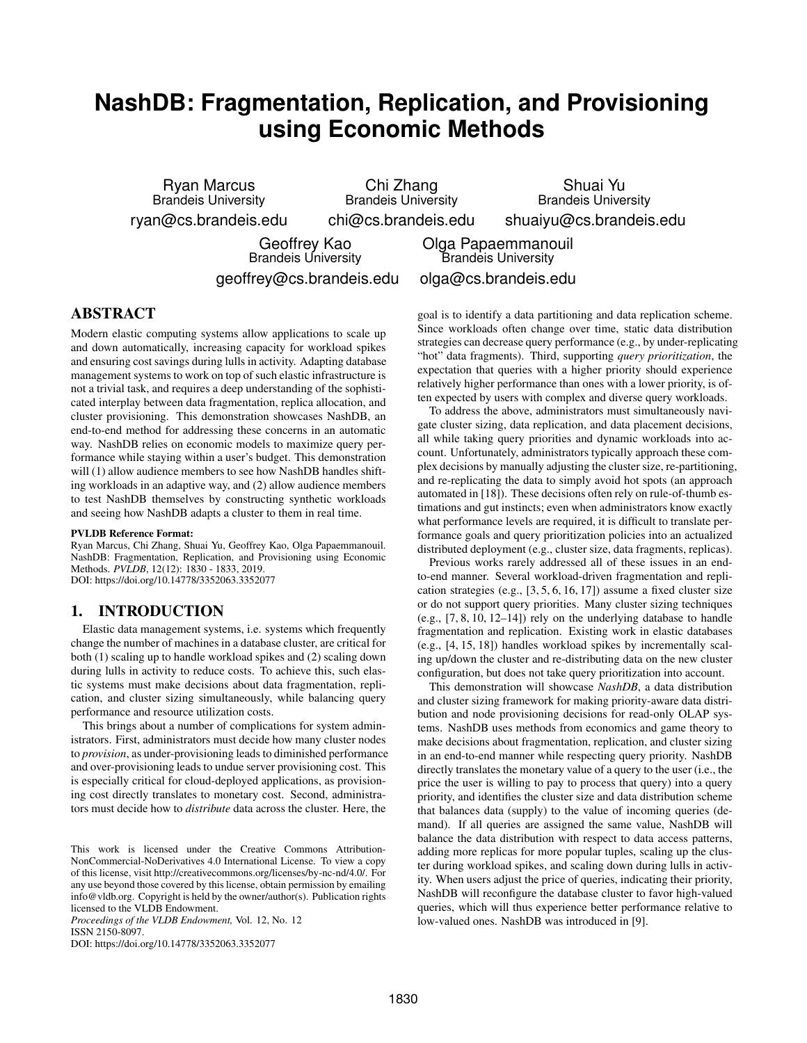# **NashDB: Fragmentation, Replication, and Provisioning using Economic Methods**

Ryan Marcus Brandeis University ryan@cs.brandeis.edu

Chi Zhang Brandeis University chi@cs.brandeis.edu

Shuai Yu Brandeis University shuaiyu@cs.brandeis.edu

Geoffrey Kao Brandeis University geoffrey@cs.brandeis.edu

Olga Papaemmanouil Brandeis University olga@cs.brandeis.edu

### ABSTRACT

Modern elastic computing systems allow applications to scale up and down automatically, increasing capacity for workload spikes and ensuring cost savings during lulls in activity. Adapting database management systems to work on top of such elastic infrastructure is not a trivial task, and requires a deep understanding of the sophisticated interplay between data fragmentation, replica allocation, and cluster provisioning. This demonstration showcases NashDB, an end-to-end method for addressing these concerns in an automatic way. NashDB relies on economic models to maximize query performance while staying within a user's budget. This demonstration will (1) allow audience members to see how NashDB handles shifting workloads in an adaptive way, and (2) allow audience members to test NashDB themselves by constructing synthetic workloads and seeing how NashDB adapts a cluster to them in real time.

#### PVLDB Reference Format:

Ryan Marcus, Chi Zhang, Shuai Yu, Geoffrey Kao, Olga Papaemmanouil. NashDB: Fragmentation, Replication, and Provisioning using Economic Methods. *PVLDB*, 12(12): 1830 - 1833, 2019. DOI: https://doi.org/10.14778/3352063.3352077

#### 1. INTRODUCTION

Elastic data management systems, i.e. systems which frequently change the number of machines in a database cluster, are critical for both (1) scaling up to handle workload spikes and (2) scaling down during lulls in activity to reduce costs. To achieve this, such elastic systems must make decisions about data fragmentation, replication, and cluster sizing simultaneously, while balancing query performance and resource utilization costs.

This brings about a number of complications for system administrators. First, administrators must decide how many cluster nodes to *provision*, as under-provisioning leads to diminished performance and over-provisioning leads to undue server provisioning cost. This is especially critical for cloud-deployed applications, as provisioning cost directly translates to monetary cost. Second, administrators must decide how to *distribute* data across the cluster. Here, the

*Proceedings of the VLDB Endowment,* Vol. 12, No. 12 ISSN 2150-8097.

DOI: https://doi.org/10.14778/3352063.3352077

goal is to identify a data partitioning and data replication scheme. Since workloads often change over time, static data distribution strategies can decrease query performance (e.g., by under-replicating "hot" data fragments). Third, supporting *query prioritization*, the expectation that queries with a higher priority should experience relatively higher performance than ones with a lower priority, is often expected by users with complex and diverse query workloads.

To address the above, administrators must simultaneously navigate cluster sizing, data replication, and data placement decisions, all while taking query priorities and dynamic workloads into account. Unfortunately, administrators typically approach these complex decisions by manually adjusting the cluster size, re-partitioning, and re-replicating the data to simply avoid hot spots (an approach automated in [18]). These decisions often rely on rule-of-thumb estimations and gut instincts; even when administrators know exactly what performance levels are required, it is difficult to translate performance goals and query prioritization policies into an actualized distributed deployment (e.g., cluster size, data fragments, replicas).

Previous works rarely addressed all of these issues in an endto-end manner. Several workload-driven fragmentation and replication strategies (e.g., [3, 5, 6, 16, 17]) assume a fixed cluster size or do not support query priorities. Many cluster sizing techniques (e.g., [7, 8, 10, 12–14]) rely on the underlying database to handle fragmentation and replication. Existing work in elastic databases (e.g., [4, 15, 18]) handles workload spikes by incrementally scaling up/down the cluster and re-distributing data on the new cluster configuration, but does not take query prioritization into account.

This demonstration will showcase *NashDB*, a data distribution and cluster sizing framework for making priority-aware data distribution and node provisioning decisions for read-only OLAP systems. NashDB uses methods from economics and game theory to make decisions about fragmentation, replication, and cluster sizing in an end-to-end manner while respecting query priority. NashDB directly translates the monetary value of a query to the user (i.e., the price the user is willing to pay to process that query) into a query priority, and identifies the cluster size and data distribution scheme that balances data (supply) to the value of incoming queries (demand). If all queries are assigned the same value, NashDB will balance the data distribution with respect to data access patterns, adding more replicas for more popular tuples, scaling up the cluster during workload spikes, and scaling down during lulls in activity. When users adjust the price of queries, indicating their priority, NashDB will reconfigure the database cluster to favor high-valued queries, which will thus experience better performance relative to low-valued ones. NashDB was introduced in [9].

This work is licensed under the Creative Commons Attribution-NonCommercial-NoDerivatives 4.0 International License. To view a copy of this license, visit http://creativecommons.org/licenses/by-nc-nd/4.0/. For any use beyond those covered by this license, obtain permission by emailing info@vldb.org. Copyright is held by the owner/author(s). Publication rights licensed to the VLDB Endowment.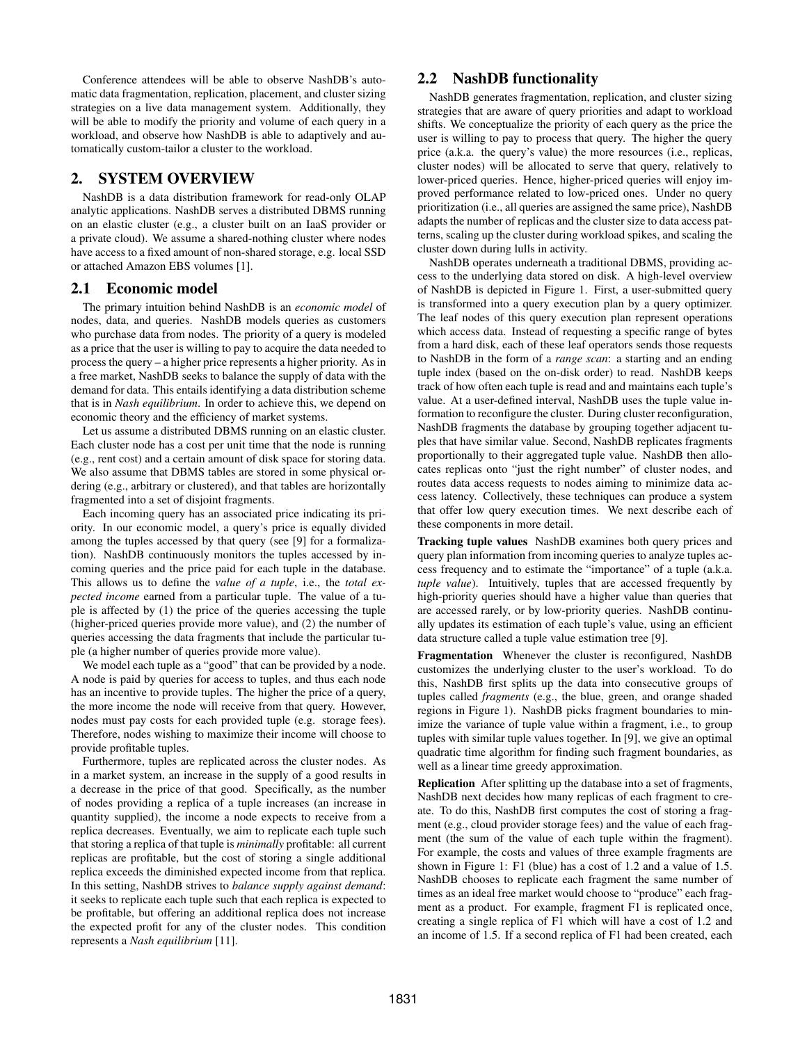Conference attendees will be able to observe NashDB's automatic data fragmentation, replication, placement, and cluster sizing strategies on a live data management system. Additionally, they will be able to modify the priority and volume of each query in a workload, and observe how NashDB is able to adaptively and automatically custom-tailor a cluster to the workload.

#### 2. SYSTEM OVERVIEW

NashDB is a data distribution framework for read-only OLAP analytic applications. NashDB serves a distributed DBMS running on an elastic cluster (e.g., a cluster built on an IaaS provider or a private cloud). We assume a shared-nothing cluster where nodes have access to a fixed amount of non-shared storage, e.g. local SSD or attached Amazon EBS volumes [1].

#### 2.1 Economic model

The primary intuition behind NashDB is an *economic model* of nodes, data, and queries. NashDB models queries as customers who purchase data from nodes. The priority of a query is modeled as a price that the user is willing to pay to acquire the data needed to process the query – a higher price represents a higher priority. As in a free market, NashDB seeks to balance the supply of data with the demand for data. This entails identifying a data distribution scheme that is in *Nash equilibrium*. In order to achieve this, we depend on economic theory and the efficiency of market systems.

Let us assume a distributed DBMS running on an elastic cluster. Each cluster node has a cost per unit time that the node is running (e.g., rent cost) and a certain amount of disk space for storing data. We also assume that DBMS tables are stored in some physical ordering (e.g., arbitrary or clustered), and that tables are horizontally fragmented into a set of disjoint fragments.

Each incoming query has an associated price indicating its priority. In our economic model, a query's price is equally divided among the tuples accessed by that query (see [9] for a formalization). NashDB continuously monitors the tuples accessed by incoming queries and the price paid for each tuple in the database. This allows us to define the *value of a tuple*, i.e., the *total expected income* earned from a particular tuple. The value of a tuple is affected by (1) the price of the queries accessing the tuple (higher-priced queries provide more value), and (2) the number of queries accessing the data fragments that include the particular tuple (a higher number of queries provide more value).

We model each tuple as a "good" that can be provided by a node. A node is paid by queries for access to tuples, and thus each node has an incentive to provide tuples. The higher the price of a query, the more income the node will receive from that query. However, nodes must pay costs for each provided tuple (e.g. storage fees). Therefore, nodes wishing to maximize their income will choose to provide profitable tuples.

Furthermore, tuples are replicated across the cluster nodes. As in a market system, an increase in the supply of a good results in a decrease in the price of that good. Specifically, as the number of nodes providing a replica of a tuple increases (an increase in quantity supplied), the income a node expects to receive from a replica decreases. Eventually, we aim to replicate each tuple such that storing a replica of that tuple is *minimally* profitable: all current replicas are profitable, but the cost of storing a single additional replica exceeds the diminished expected income from that replica. In this setting, NashDB strives to *balance supply against demand*: it seeks to replicate each tuple such that each replica is expected to be profitable, but offering an additional replica does not increase the expected profit for any of the cluster nodes. This condition represents a *Nash equilibrium* [11].

#### 2.2 NashDB functionality

NashDB generates fragmentation, replication, and cluster sizing strategies that are aware of query priorities and adapt to workload shifts. We conceptualize the priority of each query as the price the user is willing to pay to process that query. The higher the query price (a.k.a. the query's value) the more resources (i.e., replicas, cluster nodes) will be allocated to serve that query, relatively to lower-priced queries. Hence, higher-priced queries will enjoy improved performance related to low-priced ones. Under no query prioritization (i.e., all queries are assigned the same price), NashDB adapts the number of replicas and the cluster size to data access patterns, scaling up the cluster during workload spikes, and scaling the cluster down during lulls in activity.

NashDB operates underneath a traditional DBMS, providing access to the underlying data stored on disk. A high-level overview of NashDB is depicted in Figure 1. First, a user-submitted query is transformed into a query execution plan by a query optimizer. The leaf nodes of this query execution plan represent operations which access data. Instead of requesting a specific range of bytes from a hard disk, each of these leaf operators sends those requests to NashDB in the form of a *range scan*: a starting and an ending tuple index (based on the on-disk order) to read. NashDB keeps track of how often each tuple is read and and maintains each tuple's value. At a user-defined interval, NashDB uses the tuple value information to reconfigure the cluster. During cluster reconfiguration, NashDB fragments the database by grouping together adjacent tuples that have similar value. Second, NashDB replicates fragments proportionally to their aggregated tuple value. NashDB then allocates replicas onto "just the right number" of cluster nodes, and routes data access requests to nodes aiming to minimize data access latency. Collectively, these techniques can produce a system that offer low query execution times. We next describe each of these components in more detail.

Tracking tuple values NashDB examines both query prices and query plan information from incoming queries to analyze tuples access frequency and to estimate the "importance" of a tuple (a.k.a. *tuple value*). Intuitively, tuples that are accessed frequently by high-priority queries should have a higher value than queries that are accessed rarely, or by low-priority queries. NashDB continually updates its estimation of each tuple's value, using an efficient data structure called a tuple value estimation tree [9].

Fragmentation Whenever the cluster is reconfigured, NashDB customizes the underlying cluster to the user's workload. To do this, NashDB first splits up the data into consecutive groups of tuples called *fragments* (e.g., the blue, green, and orange shaded regions in Figure 1). NashDB picks fragment boundaries to minimize the variance of tuple value within a fragment, i.e., to group tuples with similar tuple values together. In [9], we give an optimal quadratic time algorithm for finding such fragment boundaries, as well as a linear time greedy approximation.

Replication After splitting up the database into a set of fragments, NashDB next decides how many replicas of each fragment to create. To do this, NashDB first computes the cost of storing a fragment (e.g., cloud provider storage fees) and the value of each fragment (the sum of the value of each tuple within the fragment). For example, the costs and values of three example fragments are shown in Figure 1: F1 (blue) has a cost of 1.2 and a value of 1.5. NashDB chooses to replicate each fragment the same number of times as an ideal free market would choose to "produce" each fragment as a product. For example, fragment F1 is replicated once, creating a single replica of F1 which will have a cost of 1.2 and an income of 1.5. If a second replica of F1 had been created, each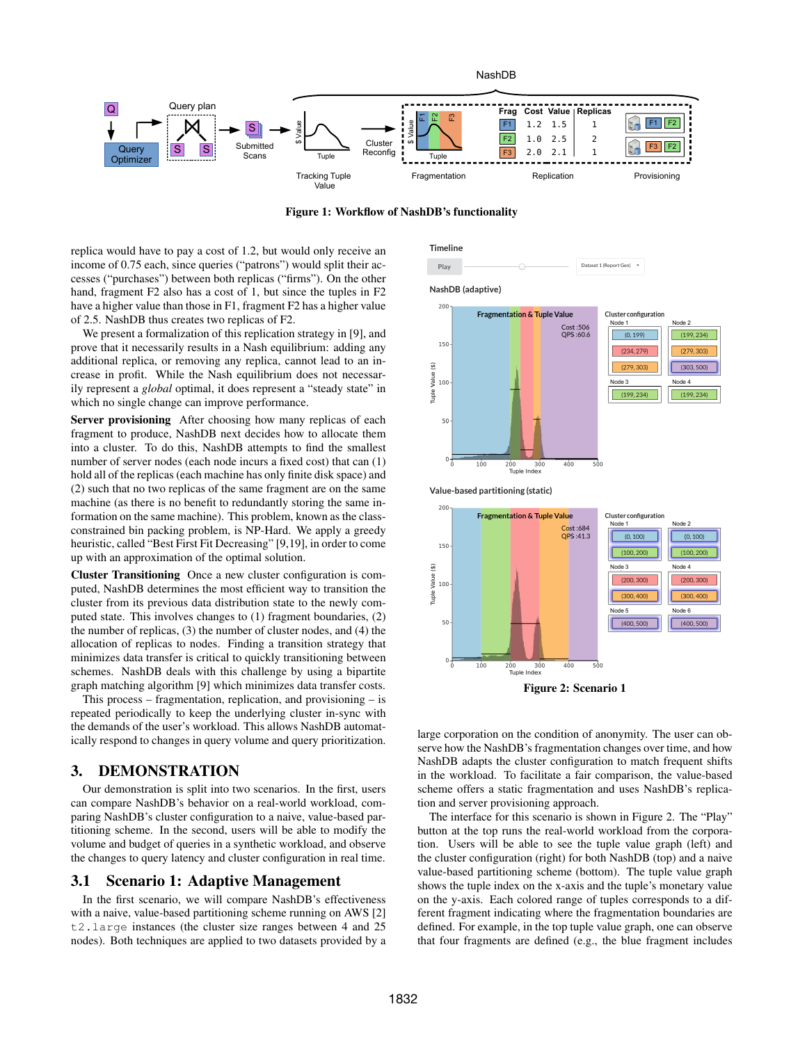

Figure 1: Workflow of NashDB's functionality

replica would have to pay a cost of 1.2, but would only receive an income of 0.75 each, since queries ("patrons") would split their accesses ("purchases") between both replicas ("firms"). On the other hand, fragment F2 also has a cost of 1, but since the tuples in F2 have a higher value than those in F1, fragment F2 has a higher value of 2.5. NashDB thus creates two replicas of F2.

We present a formalization of this replication strategy in [9], and prove that it necessarily results in a Nash equilibrium: adding any additional replica, or removing any replica, cannot lead to an increase in profit. While the Nash equilibrium does not necessarily represent a *global* optimal, it does represent a "steady state" in which no single change can improve performance.

Server provisioning After choosing how many replicas of each fragment to produce, NashDB next decides how to allocate them into a cluster. To do this, NashDB attempts to find the smallest number of server nodes (each node incurs a fixed cost) that can (1) hold all of the replicas (each machine has only finite disk space) and (2) such that no two replicas of the same fragment are on the same machine (as there is no benefit to redundantly storing the same information on the same machine). This problem, known as the classconstrained bin packing problem, is NP-Hard. We apply a greedy heuristic, called "Best First Fit Decreasing" [9,19], in order to come up with an approximation of the optimal solution.

Cluster Transitioning Once a new cluster configuration is computed, NashDB determines the most efficient way to transition the cluster from its previous data distribution state to the newly computed state. This involves changes to (1) fragment boundaries, (2) the number of replicas, (3) the number of cluster nodes, and (4) the allocation of replicas to nodes. Finding a transition strategy that minimizes data transfer is critical to quickly transitioning between schemes. NashDB deals with this challenge by using a bipartite graph matching algorithm [9] which minimizes data transfer costs.

This process – fragmentation, replication, and provisioning – is repeated periodically to keep the underlying cluster in-sync with the demands of the user's workload. This allows NashDB automatically respond to changes in query volume and query prioritization.

#### 3. DEMONSTRATION

Our demonstration is split into two scenarios. In the first, users can compare NashDB's behavior on a real-world workload, comparing NashDB's cluster configuration to a naive, value-based partitioning scheme. In the second, users will be able to modify the volume and budget of queries in a synthetic workload, and observe the changes to query latency and cluster configuration in real time.

#### 3.1 Scenario 1: Adaptive Management

In the first scenario, we will compare NashDB's effectiveness with a naive, value-based partitioning scheme running on AWS [2] t2.large instances (the cluster size ranges between 4 and 25 nodes). Both techniques are applied to two datasets provided by a





**Fragmentation & Tuple Value** Cost:684<br>QPS:41.3



large corporation on the condition of anonymity. The user can observe how the NashDB's fragmentation changes over time, and how NashDB adapts the cluster configuration to match frequent shifts in the workload. To facilitate a fair comparison, the value-based scheme offers a static fragmentation and uses NashDB's replication and server provisioning approach.

The interface for this scenario is shown in Figure 2. The "Play" button at the top runs the real-world workload from the corporation. Users will be able to see the tuple value graph (left) and the cluster configuration (right) for both NashDB (top) and a naive value-based partitioning scheme (bottom). The tuple value graph shows the tuple index on the x-axis and the tuple's monetary value on the y-axis. Each colored range of tuples corresponds to a different fragment indicating where the fragmentation boundaries are defined. For example, in the top tuple value graph, one can observe that four fragments are defined (e.g., the blue fragment includes